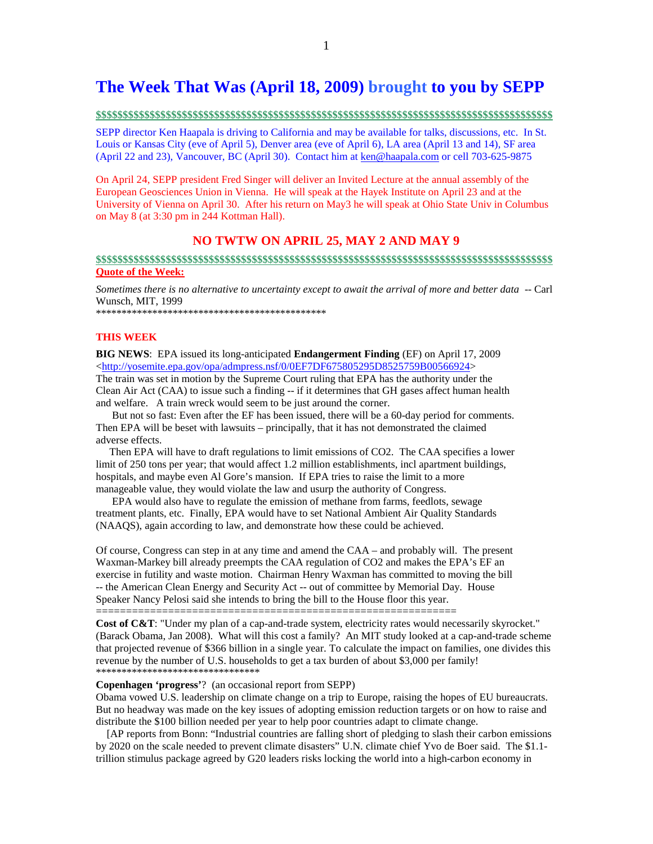# **The Week That Was (April 18, 2009) brought to you by SEPP**

### **\$\$\$\$\$\$\$\$\$\$\$\$\$\$\$\$\$\$\$\$\$\$\$\$\$\$\$\$\$\$\$\$\$\$\$\$\$\$\$\$\$\$\$\$\$\$\$\$\$\$\$\$\$\$\$\$\$\$\$\$\$\$\$\$\$\$\$\$\$\$\$\$\$\$\$\$\$\$\$\$\$\$\$\$\$**

SEPP director Ken Haapala is driving to California and may be available for talks, discussions, etc. In St. Louis or Kansas City (eve of April 5), Denver area (eve of April 6), LA area (April 13 and 14), SF area (April 22 and 23), Vancouver, BC (April 30). Contact him at ken@haapala.com or cell 703-625-9875

On April 24, SEPP president Fred Singer will deliver an Invited Lecture at the annual assembly of the European Geosciences Union in Vienna. He will speak at the Hayek Institute on April 23 and at the University of Vienna on April 30. After his return on May3 he will speak at Ohio State Univ in Columbus on May 8 (at 3:30 pm in 244 Kottman Hall).

# **NO TWTW ON APRIL 25, MAY 2 AND MAY 9**

### **\$\$\$\$\$\$\$\$\$\$\$\$\$\$\$\$\$\$\$\$\$\$\$\$\$\$\$\$\$\$\$\$\$\$\$\$\$\$\$\$\$\$\$\$\$\$\$\$\$\$\$\$\$\$\$\$\$\$\$\$\$\$\$\$\$\$\$\$\$\$\$\$\$\$\$\$\$\$\$\$\$\$\$\$\$ Quote of the Week:**

*Sometimes there is no alternative to uncertainty except to await the arrival of more and better data* -- Carl Wunsch, MIT, 1999

\*\*\*\*\*\*\*\*\*\*\*\*\*\*\*\*\*\*\*\*\*\*\*\*\*\*\*\*\*\*\*\*\*\*\*\*\*\*\*\*\*\*\*\*\*

### **THIS WEEK**

**BIG NEWS**: EPA issued its long-anticipated **Endangerment Finding** (EF) on April 17, 2009 <http://yosemite.epa.gov/opa/admpress.nsf/0/0EF7DF675805295D8525759B00566924> The train was set in motion by the Supreme Court ruling that EPA has the authority under the Clean Air Act (CAA) to issue such a finding -- if it determines that GH gases affect human health and welfare. A train wreck would seem to be just around the corner.

 But not so fast: Even after the EF has been issued, there will be a 60-day period for comments. Then EPA will be beset with lawsuits – principally, that it has not demonstrated the claimed adverse effects.

 Then EPA will have to draft regulations to limit emissions of CO2. The CAA specifies a lower limit of 250 tons per year; that would affect 1.2 million establishments, incl apartment buildings, hospitals, and maybe even Al Gore's mansion. If EPA tries to raise the limit to a more manageable value, they would violate the law and usurp the authority of Congress.

 EPA would also have to regulate the emission of methane from farms, feedlots, sewage treatment plants, etc. Finally, EPA would have to set National Ambient Air Quality Standards (NAAQS), again according to law, and demonstrate how these could be achieved.

Of course, Congress can step in at any time and amend the CAA – and probably will. The present Waxman-Markey bill already preempts the CAA regulation of CO2 and makes the EPA's EF an exercise in futility and waste motion. Chairman Henry Waxman has committed to moving the bill -- the American Clean Energy and Security Act -- out of committee by Memorial Day. House Speaker Nancy Pelosi said she intends to bring the bill to the House floor this year.

============================================================

**Cost of C&T**: "Under my plan of a cap-and-trade system, electricity rates would necessarily skyrocket." (Barack Obama, Jan 2008). What will this cost a family? An MIT study looked at a cap-and-trade scheme that projected revenue of \$366 billion in a single year. To calculate the impact on families, one divides this revenue by the number of U.S. households to get a tax burden of about \$3,000 per family! \*\*\*\*\*\*\*\*\*\*\*\*\*\*\*\*\*\*\*\*\*\*\*\*\*\*\*\*\*\*\*\*

### **Copenhagen 'progress'**? (an occasional report from SEPP)

Obama vowed U.S. leadership on climate change on a trip to Europe, raising the hopes of EU bureaucrats. But no headway was made on the key issues of adopting emission reduction targets or on how to raise and distribute the \$100 billion needed per year to help poor countries adapt to climate change.

 [AP reports from Bonn: "Industrial countries are falling short of pledging to slash their carbon emissions by 2020 on the scale needed to prevent climate disasters" U.N. climate chief Yvo de Boer said. The \$1.1 trillion stimulus package agreed by G20 leaders risks locking the world into a high-carbon economy in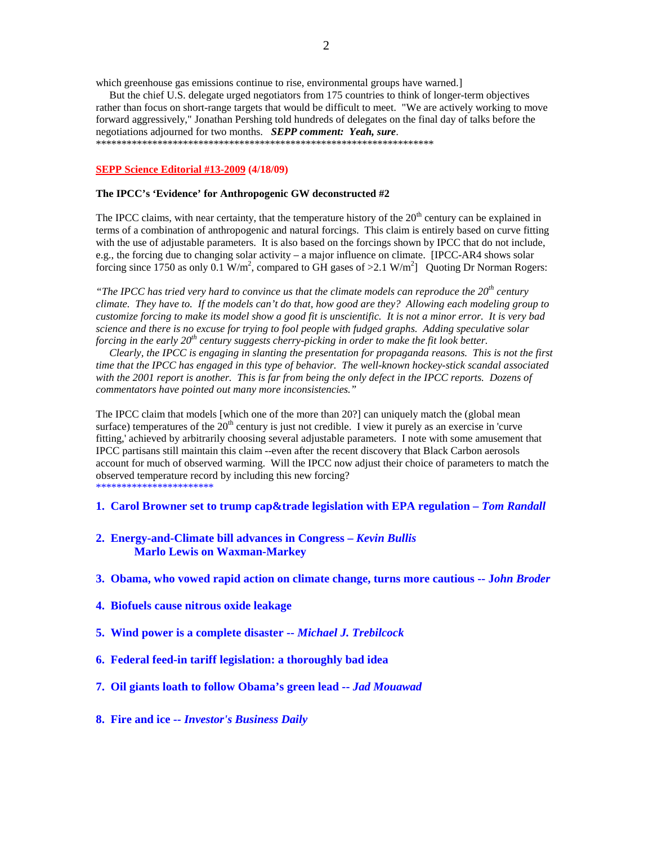which greenhouse gas emissions continue to rise, environmental groups have warned.]

 But the chief U.S. delegate urged negotiators from 175 countries to think of longer-term objectives rather than focus on short-range targets that would be difficult to meet. "We are actively working to move forward aggressively," Jonathan Pershing told hundreds of delegates on the final day of talks before the negotiations adjourned for two months. *SEPP comment: Yeah, sure*.

### \*\*\*\*\*\*\*\*\*\*\*\*\*\*\*\*\*\*\*\*\*\*\*\*\*\*\*\*\*\*\*\*\*\*\*\*\*\*\*\*\*\*\*\*\*\*\*\*\*\*\*\*\*\*\*\*\*\*\*\*\*\*\*\*\*\*

### **SEPP Science Editorial #13-2009 (4/18/09)**

### **The IPCC's 'Evidence' for Anthropogenic GW deconstructed #2**

The IPCC claims, with near certainty, that the temperature history of the  $20<sup>th</sup>$  century can be explained in terms of a combination of anthropogenic and natural forcings. This claim is entirely based on curve fitting with the use of adjustable parameters. It is also based on the forcings shown by IPCC that do not include, e.g., the forcing due to changing solar activity – a major influence on climate. [IPCC-AR4 shows solar forcing since 1750 as only 0.1  $\text{W/m}^2$ , compared to GH gases of >2.1  $\text{W/m}^2$ ] Quoting Dr Norman Rogers:

*"The IPCC has tried very hard to convince us that the climate models can reproduce the 20th century climate. They have to. If the models can't do that, how good are they? Allowing each modeling group to customize forcing to make its model show a good fit is unscientific. It is not a minor error. It is very bad science and there is no excuse for trying to fool people with fudged graphs. Adding speculative solar forcing in the early 20th century suggests cherry-picking in order to make the fit look better.* 

 *Clearly, the IPCC is engaging in slanting the presentation for propaganda reasons. This is not the first time that the IPCC has engaged in this type of behavior. The well-known hockey-stick scandal associated with the 2001 report is another. This is far from being the only defect in the IPCC reports. Dozens of commentators have pointed out many more inconsistencies."* 

The IPCC claim that models [which one of the more than 20?] can uniquely match the (global mean surface) temperatures of the  $20<sup>th</sup>$  century is just not credible. I view it purely as an exercise in 'curve fitting,' achieved by arbitrarily choosing several adjustable parameters. I note with some amusement that IPCC partisans still maintain this claim --even after the recent discovery that Black Carbon aerosols account for much of observed warming. Will the IPCC now adjust their choice of parameters to match the observed temperature record by including this new forcing? \*\*\*\*\*\*\*\*\*\*\*\*\*\*\*\*\*\*\*\*\*\*\*

### **1. Carol Browner set to trump cap&trade legislation with EPA regulation –** *Tom Randall*

- **2. Energy-and-Climate bill advances in Congress** *Kevin Bullis*  **Marlo Lewis on Waxman-Markey**
- **3. Obama, who vowed rapid action on climate change, turns more cautious -- J***ohn Broder*
- **4. Biofuels cause nitrous oxide leakage**
- **5. Wind power is a complete disaster --** *Michael J. Trebilcock*
- **6. Federal feed-in tariff legislation: a thoroughly bad idea**
- **7. Oil giants loath to follow Obama's green lead --** *Jad Mouawad*
- **8. Fire and ice --** *Investor's Business Daily*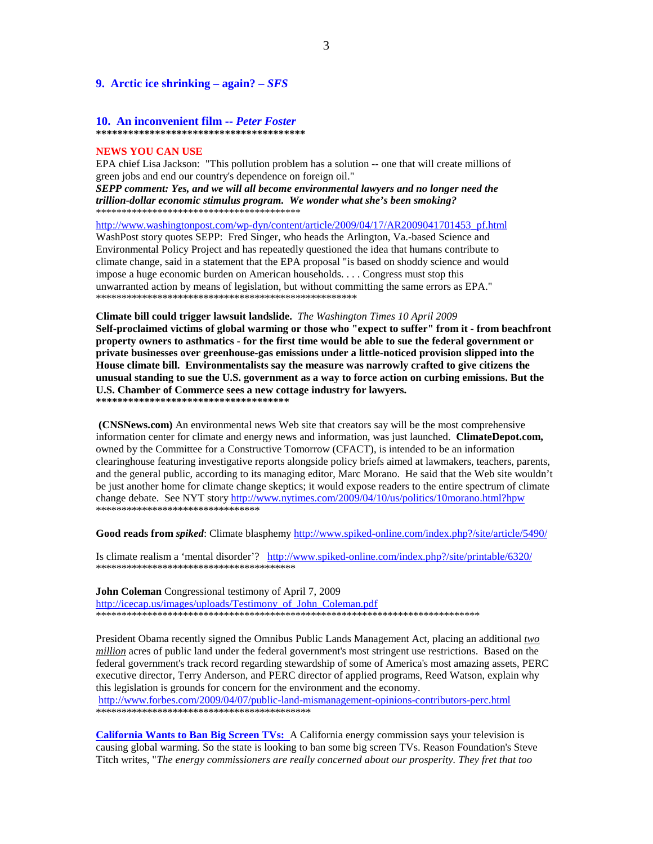### **9. Arctic ice shrinking – again? –** *SFS*

### **10. An inconvenient film --** *Peter Foster* **\*\*\*\*\*\*\*\*\*\*\*\*\*\*\*\*\*\*\*\*\*\*\*\*\*\*\*\*\*\*\*\*\*\*\*\*\*\*\***

### **NEWS YOU CAN USE**

EPA chief Lisa Jackson: "This pollution problem has a solution -- one that will create millions of green jobs and end our country's dependence on foreign oil."

*SEPP comment: Yes, and we will all become environmental lawyers and no longer need the trillion-dollar economic stimulus program. We wonder what she's been smoking?*  \*\*\*\*\*\*\*\*\*\*\*\*\*\*\*\*\*\*\*\*\*\*\*\*\*\*\*\*\*\*\*\*\*\*\*\*\*\*\*\*

http://www.washingtonpost.com/wp-dyn/content/article/2009/04/17/AR2009041701453\_pf.html WashPost story quotes SEPP: Fred Singer, who heads the Arlington, Va.-based Science and Environmental Policy Project and has repeatedly questioned the idea that humans contribute to climate change, said in a statement that the EPA proposal "is based on shoddy science and would impose a huge economic burden on American households. . . . Congress must stop this unwarranted action by means of legislation, but without committing the same errors as EPA."

\*\*\*\*\*\*\*\*\*\*\*\*\*\*\*\*\*\*\*\*\*\*\*\*\*\*\*\*\*\*\*\*\*\*\*\*\*\*\*\*\*\*\*\*\*\*\*\*\*\*\*

**Climate bill could trigger lawsuit landslide.** *The Washington Times 10 April 2009* **Self-proclaimed victims of global warming or those who "expect to suffer" from it - from beachfront property owners to asthmatics - for the first time would be able to sue the federal government or private businesses over greenhouse-gas emissions under a little-noticed provision slipped into the House climate bill. Environmentalists say the measure was narrowly crafted to give citizens the unusual standing to sue the U.S. government as a way to force action on curbing emissions. But the U.S. Chamber of Commerce sees a new cottage industry for lawyers. \*\*\*\*\*\*\*\*\*\*\*\*\*\*\*\*\*\*\*\*\*\*\*\*\*\*\*\*\*\*\*\*\*\*\*\*** 

 **(CNSNews.com)** An environmental news Web site that creators say will be the most comprehensive information center for climate and energy news and information, was just launched. **ClimateDepot.com,** owned by the Committee for a Constructive Tomorrow (CFACT), is intended to be an information clearinghouse featuring investigative reports alongside policy briefs aimed at lawmakers, teachers, parents, and the general public, according to its managing editor, Marc Morano. He said that the Web site wouldn't be just another home for climate change skeptics; it would expose readers to the entire spectrum of climate change debate. See NYT story http://www.nytimes.com/2009/04/10/us/politics/10morano.html?hpw \*\*\*\*\*\*\*\*\*\*\*\*\*\*\*\*\*\*\*\*\*\*\*\*\*\*\*\*\*\*\*\*\*\*\*

**Good reads from** *spiked*: Climate blasphemy http://www.spiked-online.com/index.php?/site/article/5490/

Is climate realism a 'mental disorder'? http://www.spiked-online.com/index.php?/site/printable/6320/ \*\*\*\*\*\*\*\*\*\*\*\*\*\*\*\*\*\*\*\*\*\*\*\*\*\*\*\*\*\*\*\*\*\*\*\*\*\*\*

**John Coleman** Congressional testimony of April 7, 2009 http://icecap.us/images/uploads/Testimony\_of\_John\_Coleman.pdf \*\*\*\*\*\*\*\*\*\*\*\*\*\*\*\*\*\*\*\*\*\*\*\*\*\*\*\*\*\*\*\*\*\*\*\*\*\*\*\*\*\*\*\*\*\*\*\*\*\*\*\*\*\*\*\*\*\*\*\*\*\*\*\*\*\*\*\*\*\*\*\*\*\*\*

President Obama recently signed the Omnibus Public Lands Management Act, placing an additional *two million* acres of public land under the federal government's most stringent use restrictions. Based on the federal government's track record regarding stewardship of some of America's most amazing assets, PERC executive director, Terry Anderson, and PERC director of applied programs, Reed Watson, explain why this legislation is grounds for concern for the environment and the economy.

http://www.forbes.com/2009/04/07/public-land-mismanagement-opinions-contributors-perc.html \*\*\*\*\*\*\*\*\*\*\*\*\*\*\*\*\*\*\*\*\*\*\*\*\*\*\*\*\*\*\*\*\*\*\*\*\*\*\*\*\*\*

**California Wants to Ban Big Screen TVs:** A California energy commission says your television is causing global warming. So the state is looking to ban some big screen TVs. Reason Foundation's Steve Titch writes, "*The energy commissioners are really concerned about our prosperity. They fret that too*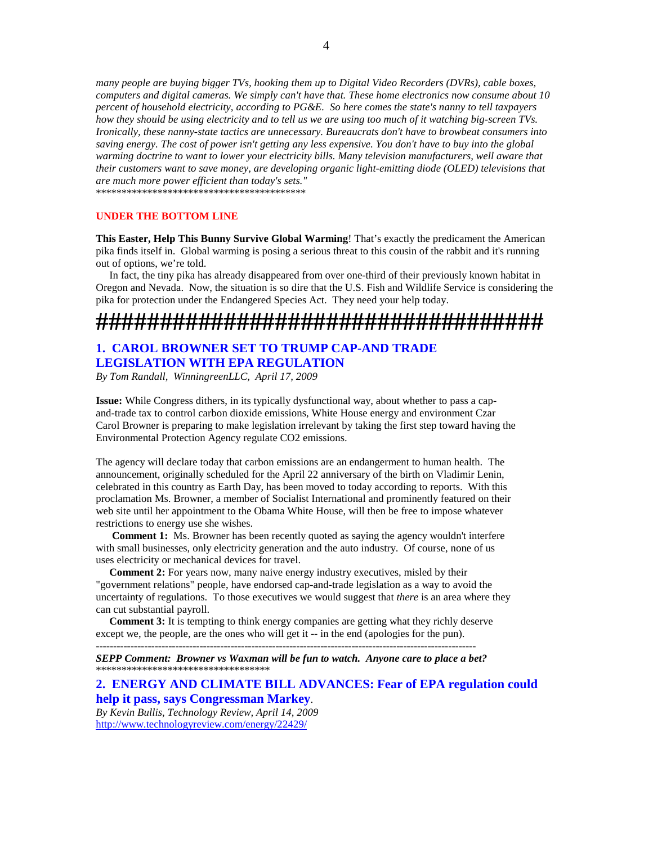*many people are buying bigger TVs, hooking them up to Digital Video Recorders (DVRs), cable boxes, computers and digital cameras. We simply can't have that. These home electronics now consume about 10 percent of household electricity, according to PG&E. So here comes the state's nanny to tell taxpayers how they should be using electricity and to tell us we are using too much of it watching big-screen TVs. Ironically, these nanny-state tactics are unnecessary. Bureaucrats don't have to browbeat consumers into saving energy. The cost of power isn't getting any less expensive. You don't have to buy into the global warming doctrine to want to lower your electricity bills. Many television manufacturers, well aware that their customers want to save money, are developing organic light-emitting diode (OLED) televisions that are much more power efficient than today's sets."* \*\*\*\*\*\*\*\*\*\*\*\*\*\*\*\*\*\*\*\*\*\*\*\*\*\*\*\*\*\*\*\*\*\*\*\*\*\*\*\*\*

### **UNDER THE BOTTOM LINE**

**This Easter, Help This Bunny Survive Global Warming**! That's exactly the predicament the American pika finds itself in. Global warming is posing a serious threat to this cousin of the rabbit and it's running out of options, we're told.

 In fact, the tiny pika has already disappeared from over one-third of their previously known habitat in Oregon and Nevada. Now, the situation is so dire that the U.S. Fish and Wildlife Service is considering the pika for protection under the Endangered Species Act. They need your help today.

# **###################################**

# **1. CAROL BROWNER SET TO TRUMP CAP-AND TRADE LEGISLATION WITH EPA REGULATION**

*By Tom Randall, WinningreenLLC, April 17, 2009* 

**Issue:** While Congress dithers, in its typically dysfunctional way, about whether to pass a capand-trade tax to control carbon dioxide emissions, White House energy and environment Czar Carol Browner is preparing to make legislation irrelevant by taking the first step toward having the Environmental Protection Agency regulate CO2 emissions.

The agency will declare today that carbon emissions are an endangerment to human health. The announcement, originally scheduled for the April 22 anniversary of the birth on Vladimir Lenin, celebrated in this country as Earth Day, has been moved to today according to reports. With this proclamation Ms. Browner, a member of Socialist International and prominently featured on their web site until her appointment to the Obama White House, will then be free to impose whatever restrictions to energy use she wishes.

 **Comment 1:** Ms. Browner has been recently quoted as saying the agency wouldn't interfere with small businesses, only electricity generation and the auto industry. Of course, none of us uses electricity or mechanical devices for travel.

 **Comment 2:** For years now, many naive energy industry executives, misled by their "government relations" people, have endorsed cap-and-trade legislation as a way to avoid the uncertainty of regulations. To those executives we would suggest that *there* is an area where they can cut substantial payroll.

 **Comment 3:** It is tempting to think energy companies are getting what they richly deserve except we, the people, are the ones who will get it -- in the end (apologies for the pun).

-------------------------------------------------------------------------------------------------------------- *SEPP Comment: Browner vs Waxman will be fun to watch. Anyone care to place a bet?*  \*\*\*\*\*\*\*\*\*\*\*\*\*\*\*\*\*\*\*\*\*\*\*\*\*\*\*\*\*\*\*\*\*\*

# **2. ENERGY AND CLIMATE BILL ADVANCES: Fear of EPA regulation could help it pass, says Congressman Markey**.

*By Kevin Bullis, Technology Review, April 14, 2009*  http://www.technologyreview.com/energy/22429/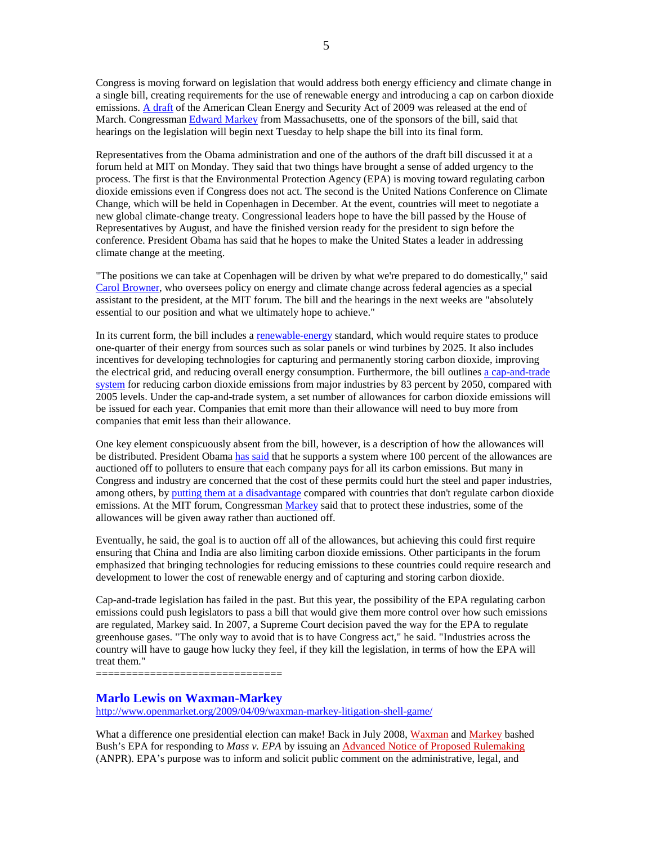Congress is moving forward on legislation that would address both energy efficiency and climate change in a single bill, creating requirements for the use of renewable energy and introducing a cap on carbon dioxide emissions. A draft of the American Clean Energy and Security Act of 2009 was released at the end of March. Congressman Edward Markey from Massachusetts, one of the sponsors of the bill, said that hearings on the legislation will begin next Tuesday to help shape the bill into its final form.

Representatives from the Obama administration and one of the authors of the draft bill discussed it at a forum held at MIT on Monday. They said that two things have brought a sense of added urgency to the process. The first is that the Environmental Protection Agency (EPA) is moving toward regulating carbon dioxide emissions even if Congress does not act. The second is the United Nations Conference on Climate Change, which will be held in Copenhagen in December. At the event, countries will meet to negotiate a new global climate-change treaty. Congressional leaders hope to have the bill passed by the House of Representatives by August, and have the finished version ready for the president to sign before the conference. President Obama has said that he hopes to make the United States a leader in addressing climate change at the meeting.

"The positions we can take at Copenhagen will be driven by what we're prepared to do domestically," said Carol Browner, who oversees policy on energy and climate change across federal agencies as a special assistant to the president, at the MIT forum. The bill and the hearings in the next weeks are "absolutely essential to our position and what we ultimately hope to achieve."

In its current form, the bill includes a renewable-energy standard, which would require states to produce one-quarter of their energy from sources such as solar panels or wind turbines by 2025. It also includes incentives for developing technologies for capturing and permanently storing carbon dioxide, improving the electrical grid, and reducing overall energy consumption. Furthermore, the bill outlines a cap-and-trade system for reducing carbon dioxide emissions from major industries by 83 percent by 2050, compared with 2005 levels. Under the cap-and-trade system, a set number of allowances for carbon dioxide emissions will be issued for each year. Companies that emit more than their allowance will need to buy more from companies that emit less than their allowance.

One key element conspicuously absent from the bill, however, is a description of how the allowances will be distributed. President Obama has said that he supports a system where 100 percent of the allowances are auctioned off to polluters to ensure that each company pays for all its carbon emissions. But many in Congress and industry are concerned that the cost of these permits could hurt the steel and paper industries, among others, by putting them at a disadvantage compared with countries that don't regulate carbon dioxide emissions. At the MIT forum, Congressman Markey said that to protect these industries, some of the allowances will be given away rather than auctioned off.

Eventually, he said, the goal is to auction off all of the allowances, but achieving this could first require ensuring that China and India are also limiting carbon dioxide emissions. Other participants in the forum emphasized that bringing technologies for reducing emissions to these countries could require research and development to lower the cost of renewable energy and of capturing and storing carbon dioxide.

Cap-and-trade legislation has failed in the past. But this year, the possibility of the EPA regulating carbon emissions could push legislators to pass a bill that would give them more control over how such emissions are regulated, Markey said. In 2007, a Supreme Court decision paved the way for the EPA to regulate greenhouse gases. "The only way to avoid that is to have Congress act," he said. "Industries across the country will have to gauge how lucky they feel, if they kill the legislation, in terms of how the EPA will treat them."

===============================

### **Marlo Lewis on Waxman-Markey**

http://www.openmarket.org/2009/04/09/waxman-markey-litigation-shell-game/

What a difference one presidential election can make! Back in July 2008, Waxman and Markey bashed Bush's EPA for responding to *Mass v. EPA* by issuing an Advanced Notice of Proposed Rulemaking (ANPR). EPA's purpose was to inform and solicit public comment on the administrative, legal, and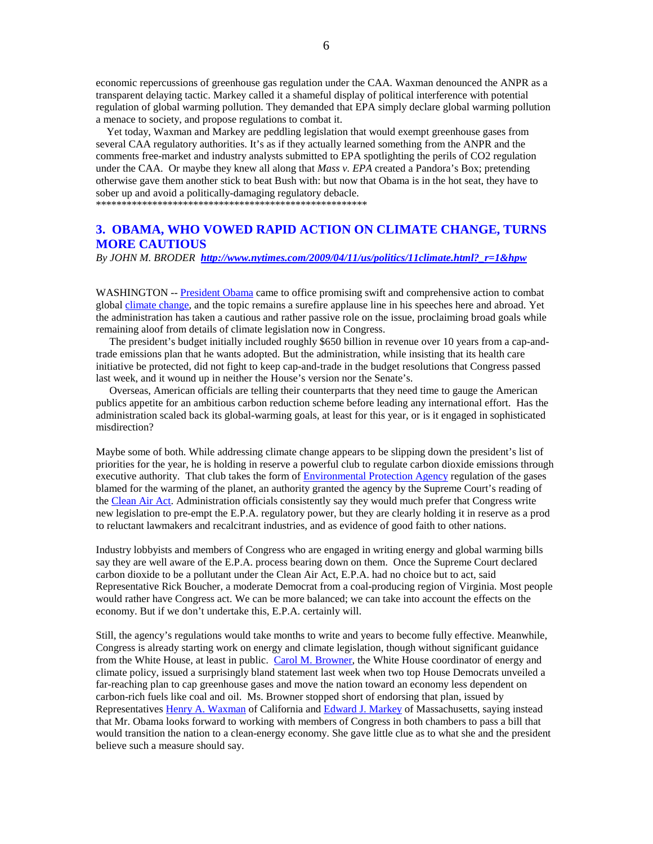economic repercussions of greenhouse gas regulation under the CAA. Waxman denounced the ANPR as a transparent delaying tactic. Markey called it a shameful display of political interference with potential regulation of global warming pollution. They demanded that EPA simply declare global warming pollution a menace to society, and propose regulations to combat it.

 Yet today, Waxman and Markey are peddling legislation that would exempt greenhouse gases from several CAA regulatory authorities. It's as if they actually learned something from the ANPR and the comments free-market and industry analysts submitted to EPA spotlighting the perils of CO2 regulation under the CAA. Or maybe they knew all along that *Mass v. EPA* created a Pandora's Box; pretending otherwise gave them another stick to beat Bush with: but now that Obama is in the hot seat, they have to sober up and avoid a politically-damaging regulatory debacle. \*\*\*\*\*\*\*\*\*\*\*\*\*\*\*\*\*\*\*\*\*\*\*\*\*\*\*\*\*\*\*\*\*\*\*\*\*\*\*\*\*\*\*\*\*\*\*\*\*\*\*\*\*

# **3. OBAMA, WHO VOWED RAPID ACTION ON CLIMATE CHANGE, TURNS MORE CAUTIOUS**

*By JOHN M. BRODER http://www.nytimes.com/2009/04/11/us/politics/11climate.html?\_r=1&hpw*

WASHINGTON -- President Obama came to office promising swift and comprehensive action to combat global climate change, and the topic remains a surefire applause line in his speeches here and abroad. Yet the administration has taken a cautious and rather passive role on the issue, proclaiming broad goals while remaining aloof from details of climate legislation now in Congress.

 The president's budget initially included roughly \$650 billion in revenue over 10 years from a cap-andtrade emissions plan that he wants adopted. But the administration, while insisting that its health care initiative be protected, did not fight to keep cap-and-trade in the budget resolutions that Congress passed last week, and it wound up in neither the House's version nor the Senate's.

 Overseas, American officials are telling their counterparts that they need time to gauge the American publics appetite for an ambitious carbon reduction scheme before leading any international effort. Has the administration scaled back its global-warming goals, at least for this year, or is it engaged in sophisticated misdirection?

Maybe some of both. While addressing climate change appears to be slipping down the president's list of priorities for the year, he is holding in reserve a powerful club to regulate carbon dioxide emissions through executive authority. That club takes the form of Environmental Protection Agency regulation of the gases blamed for the warming of the planet, an authority granted the agency by the Supreme Court's reading of the Clean Air Act. Administration officials consistently say they would much prefer that Congress write new legislation to pre-empt the E.P.A. regulatory power, but they are clearly holding it in reserve as a prod to reluctant lawmakers and recalcitrant industries, and as evidence of good faith to other nations.

Industry lobbyists and members of Congress who are engaged in writing energy and global warming bills say they are well aware of the E.P.A. process bearing down on them. Once the Supreme Court declared carbon dioxide to be a pollutant under the Clean Air Act, E.P.A. had no choice but to act, said Representative Rick Boucher, a moderate Democrat from a coal-producing region of Virginia. Most people would rather have Congress act. We can be more balanced; we can take into account the effects on the economy. But if we don't undertake this, E.P.A. certainly will.

Still, the agency's regulations would take months to write and years to become fully effective. Meanwhile, Congress is already starting work on energy and climate legislation, though without significant guidance from the White House, at least in public. Carol M. Browner, the White House coordinator of energy and climate policy, issued a surprisingly bland statement last week when two top House Democrats unveiled a far-reaching plan to cap greenhouse gases and move the nation toward an economy less dependent on carbon-rich fuels like coal and oil. Ms. Browner stopped short of endorsing that plan, issued by Representatives Henry A. Waxman of California and Edward J. Markey of Massachusetts, saying instead that Mr. Obama looks forward to working with members of Congress in both chambers to pass a bill that would transition the nation to a clean-energy economy. She gave little clue as to what she and the president believe such a measure should say.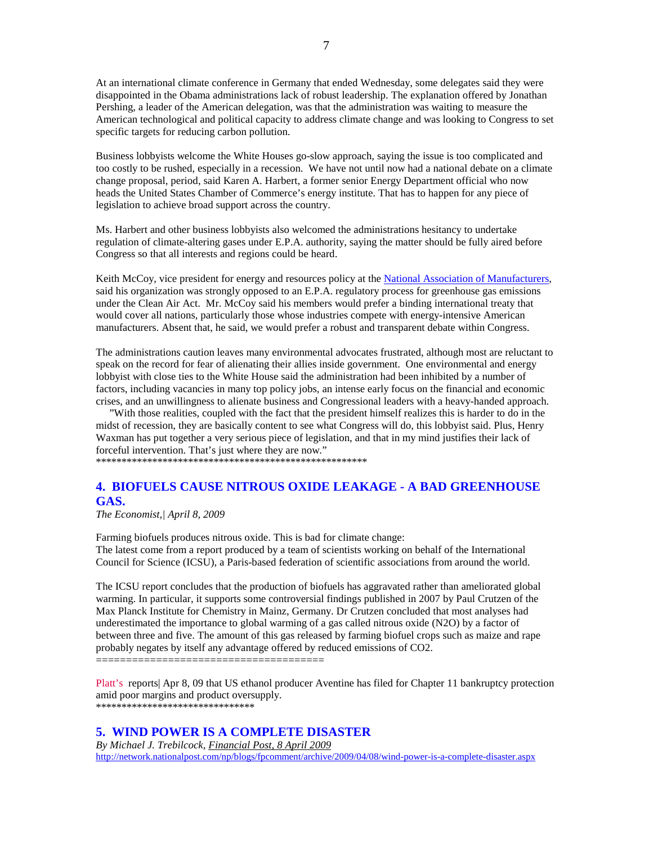At an international climate conference in Germany that ended Wednesday, some delegates said they were disappointed in the Obama administrations lack of robust leadership. The explanation offered by Jonathan Pershing, a leader of the American delegation, was that the administration was waiting to measure the American technological and political capacity to address climate change and was looking to Congress to set specific targets for reducing carbon pollution.

Business lobbyists welcome the White Houses go-slow approach, saying the issue is too complicated and too costly to be rushed, especially in a recession. We have not until now had a national debate on a climate change proposal, period, said Karen A. Harbert, a former senior Energy Department official who now heads the United States Chamber of Commerce's energy institute. That has to happen for any piece of legislation to achieve broad support across the country.

Ms. Harbert and other business lobbyists also welcomed the administrations hesitancy to undertake regulation of climate-altering gases under E.P.A. authority, saying the matter should be fully aired before Congress so that all interests and regions could be heard.

Keith McCoy, vice president for energy and resources policy at the National Association of Manufacturers, said his organization was strongly opposed to an E.P.A. regulatory process for greenhouse gas emissions under the Clean Air Act. Mr. McCoy said his members would prefer a binding international treaty that would cover all nations, particularly those whose industries compete with energy-intensive American manufacturers. Absent that, he said, we would prefer a robust and transparent debate within Congress.

The administrations caution leaves many environmental advocates frustrated, although most are reluctant to speak on the record for fear of alienating their allies inside government. One environmental and energy lobbyist with close ties to the White House said the administration had been inhibited by a number of factors, including vacancies in many top policy jobs, an intense early focus on the financial and economic crises, and an unwillingness to alienate business and Congressional leaders with a heavy-handed approach.

 "With those realities, coupled with the fact that the president himself realizes this is harder to do in the midst of recession, they are basically content to see what Congress will do, this lobbyist said. Plus, Henry Waxman has put together a very serious piece of legislation, and that in my mind justifies their lack of forceful intervention. That's just where they are now."

\*\*\*\*\*\*\*\*\*\*\*\*\*\*\*\*\*\*\*\*\*\*\*\*\*\*\*\*\*\*\*\*\*\*\*\*\*\*\*\*\*\*\*\*\*\*\*\*\*\*\*\*\*

# **4. BIOFUELS CAUSE NITROUS OXIDE LEAKAGE - A BAD GREENHOUSE GAS.**

*The Economist,| April 8, 2009* 

Farming biofuels produces nitrous oxide. This is bad for climate change: The latest come from a report produced by a team of scientists working on behalf of the International Council for Science (ICSU), a Paris-based federation of scientific associations from around the world.

The ICSU report concludes that the production of biofuels has aggravated rather than ameliorated global warming. In particular, it supports some controversial findings published in 2007 by Paul Crutzen of the Max Planck Institute for Chemistry in Mainz, Germany. Dr Crutzen concluded that most analyses had underestimated the importance to global warming of a gas called nitrous oxide (N2O) by a factor of between three and five. The amount of this gas released by farming biofuel crops such as maize and rape probably negates by itself any advantage offered by reduced emissions of CO2.

======================================

Platt's reports| Apr 8, 09 that US ethanol producer Aventine has filed for Chapter 11 bankruptcy protection amid poor margins and product oversupply. \*\*\*\*\*\*\*\*\*\*\*\*\*\*\*\*\*\*\*\*\*\*\*\*\*\*\*\*\*\*\*

## **5. WIND POWER IS A COMPLETE DISASTER**

*By Michael J. Trebilcock, Financial Post, 8 April 2009* http://network.nationalpost.com/np/blogs/fpcomment/archive/2009/04/08/wind-power-is-a-complete-disaster.aspx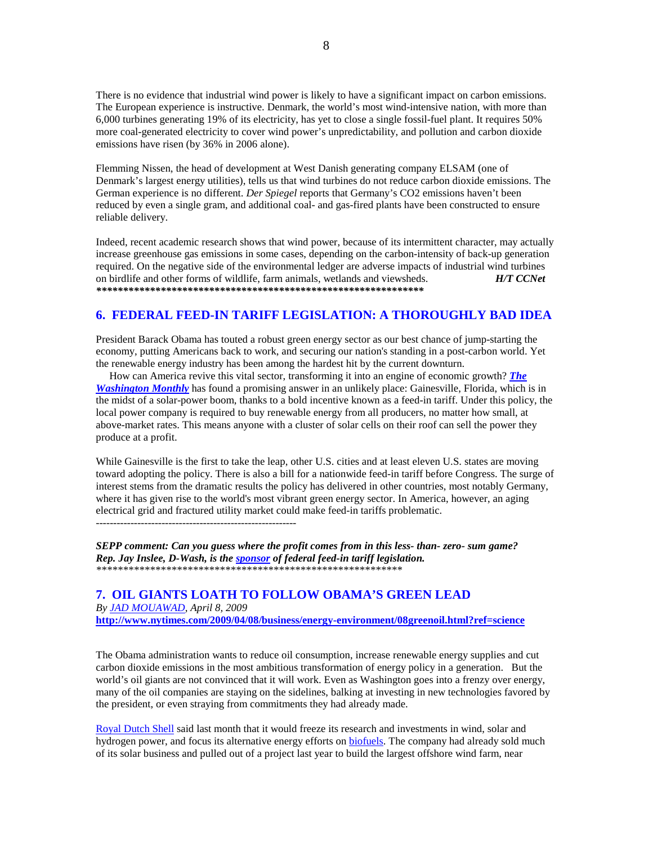There is no evidence that industrial wind power is likely to have a significant impact on carbon emissions. The European experience is instructive. Denmark, the world's most wind-intensive nation, with more than 6,000 turbines generating 19% of its electricity, has yet to close a single fossil-fuel plant. It requires 50% more coal-generated electricity to cover wind power's unpredictability, and pollution and carbon dioxide emissions have risen (by 36% in 2006 alone).

Flemming Nissen, the head of development at West Danish generating company ELSAM (one of Denmark's largest energy utilities), tells us that wind turbines do not reduce carbon dioxide emissions. The German experience is no different. *Der Spiegel* reports that Germany's CO2 emissions haven't been reduced by even a single gram, and additional coal- and gas-fired plants have been constructed to ensure reliable delivery.

Indeed, recent academic research shows that wind power, because of its intermittent character, may actually increase greenhouse gas emissions in some cases, depending on the carbon-intensity of back-up generation required. On the negative side of the environmental ledger are adverse impacts of industrial wind turbines on birdlife and other forms of wildlife, farm animals, wetlands and viewsheds. *H/T CCNet \*\*\*\*\*\*\*\*\*\*\*\*\*\*\*\*\*\*\*\*\*\*\*\*\*\*\*\*\*\*\*\*\*\*\*\*\*\*\*\*\*\*\*\*\*\*\*\*\*\*\*\*\*\*\*\*\*\*\*\*\** 

# **6. FEDERAL FEED-IN TARIFF LEGISLATION: A THOROUGHLY BAD IDEA**

President Barack Obama has touted a robust green energy sector as our best chance of jump-starting the economy, putting Americans back to work, and securing our nation's standing in a post-carbon world. Yet the renewable energy industry has been among the hardest hit by the current downturn.

 How can America revive this vital sector, transforming it into an engine of economic growth? *The Washington Monthly* has found a promising answer in an unlikely place: Gainesville, Florida, which is in the midst of a solar-power boom, thanks to a bold incentive known as a feed-in tariff. Under this policy, the local power company is required to buy renewable energy from all producers, no matter how small, at above-market rates. This means anyone with a cluster of solar cells on their roof can sell the power they produce at a profit.

While Gainesville is the first to take the leap, other U.S. cities and at least eleven U.S. states are moving toward adopting the policy. There is also a bill for a nationwide feed-in tariff before Congress. The surge of interest stems from the dramatic results the policy has delivered in other countries, most notably Germany, where it has given rise to the world's most vibrant green energy sector. In America, however, an aging electrical grid and fractured utility market could make feed-in tariffs problematic.

----------------------------------------------------------

*SEPP comment: Can you guess where the profit comes from in this less- than- zero- sum game? Rep. Jay Inslee, D-Wash, is the sponsor of federal feed-in tariff legislation. \*\*\*\*\*\*\*\*\*\*\*\*\*\*\*\*\*\*\*\*\*\*\*\*\*\*\*\*\*\*\*\*\*\*\*\*\*\*\*\*\*\*\*\*\*\*\*\*\*\*\*\*\*\*\*\*\** 

### **7. OIL GIANTS LOATH TO FOLLOW OBAMA'S GREEN LEAD**

*By JAD MOUAWAD, April 8, 2009*  **http://www.nytimes.com/2009/04/08/business/energy-environment/08greenoil.html?ref=science**

The Obama administration wants to reduce oil consumption, increase renewable energy supplies and cut carbon dioxide emissions in the most ambitious transformation of energy policy in a generation. But the world's oil giants are not convinced that it will work. Even as Washington goes into a frenzy over energy, many of the oil companies are staying on the sidelines, balking at investing in new technologies favored by the president, or even straying from commitments they had already made.

Royal Dutch Shell said last month that it would freeze its research and investments in wind, solar and hydrogen power, and focus its alternative energy efforts on biofuels. The company had already sold much of its solar business and pulled out of a project last year to build the largest offshore wind farm, near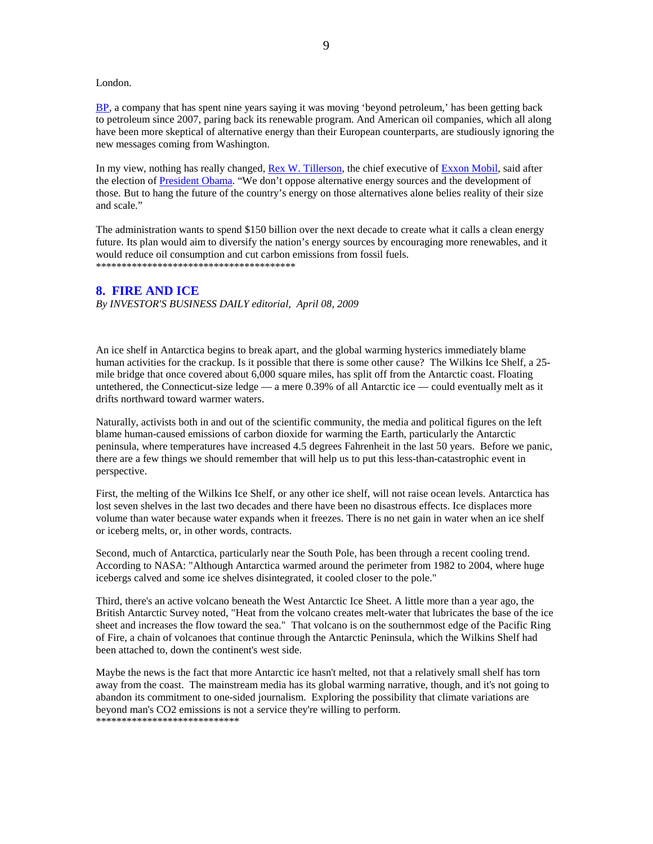### London.

BP, a company that has spent nine years saying it was moving 'beyond petroleum,' has been getting back to petroleum since 2007, paring back its renewable program. And American oil companies, which all along have been more skeptical of alternative energy than their European counterparts, are studiously ignoring the new messages coming from Washington.

In my view, nothing has really changed, Rex W. Tillerson, the chief executive of Exxon Mobil, said after the election of President Obama. "We don't oppose alternative energy sources and the development of those. But to hang the future of the country's energy on those alternatives alone belies reality of their size and scale."

The administration wants to spend \$150 billion over the next decade to create what it calls a clean energy future. Its plan would aim to diversify the nation's energy sources by encouraging more renewables, and it would reduce oil consumption and cut carbon emissions from fossil fuels. \*\*\*\*\*\*\*\*\*\*\*\*\*\*\*\*\*\*\*\*\*\*\*\*\*\*\*\*\*\*\*\*\*\*\*\*\*\*\*

### **8. FIRE AND ICE**

*By INVESTOR'S BUSINESS DAILY editorial, April 08, 2009* 

An ice shelf in Antarctica begins to break apart, and the global warming hysterics immediately blame human activities for the crackup. Is it possible that there is some other cause? The Wilkins Ice Shelf, a 25 mile bridge that once covered about 6,000 square miles, has split off from the Antarctic coast. Floating untethered, the Connecticut-size ledge — a mere 0.39% of all Antarctic ice — could eventually melt as it drifts northward toward warmer waters.

Naturally, activists both in and out of the scientific community, the media and political figures on the left blame human-caused emissions of carbon dioxide for warming the Earth, particularly the Antarctic peninsula, where temperatures have increased 4.5 degrees Fahrenheit in the last 50 years. Before we panic, there are a few things we should remember that will help us to put this less-than-catastrophic event in perspective.

First, the melting of the Wilkins Ice Shelf, or any other ice shelf, will not raise ocean levels. Antarctica has lost seven shelves in the last two decades and there have been no disastrous effects. Ice displaces more volume than water because water expands when it freezes. There is no net gain in water when an ice shelf or iceberg melts, or, in other words, contracts.

Second, much of Antarctica, particularly near the South Pole, has been through a recent cooling trend. According to NASA: "Although Antarctica warmed around the perimeter from 1982 to 2004, where huge icebergs calved and some ice shelves disintegrated, it cooled closer to the pole."

Third, there's an active volcano beneath the West Antarctic Ice Sheet. A little more than a year ago, the British Antarctic Survey noted, "Heat from the volcano creates melt-water that lubricates the base of the ice sheet and increases the flow toward the sea." That volcano is on the southernmost edge of the Pacific Ring of Fire, a chain of volcanoes that continue through the Antarctic Peninsula, which the Wilkins Shelf had been attached to, down the continent's west side.

Maybe the news is the fact that more Antarctic ice hasn't melted, not that a relatively small shelf has torn away from the coast. The mainstream media has its global warming narrative, though, and it's not going to abandon its commitment to one-sided journalism. Exploring the possibility that climate variations are beyond man's CO2 emissions is not a service they're willing to perform. \*\*\*\*\*\*\*\*\*\*\*\*\*\*\*\*\*\*\*\*\*\*\*\*\*\*\*\*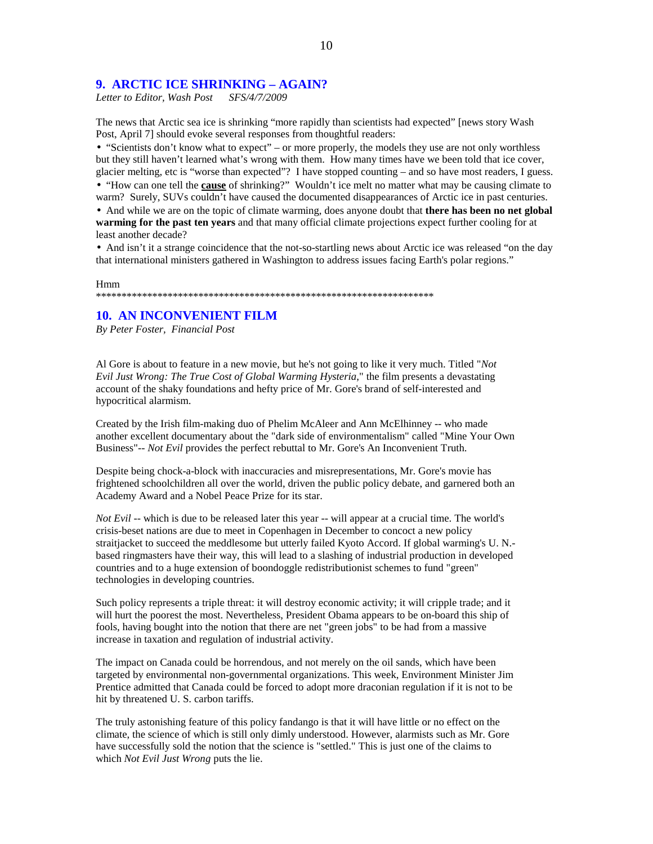# **9. ARCTIC ICE SHRINKING – AGAIN?**

*Letter to Editor, Wash Post SFS/4/7/2009* 

The news that Arctic sea ice is shrinking "more rapidly than scientists had expected" [news story Wash Post, April 7] should evoke several responses from thoughtful readers:

• "Scientists don't know what to expect" – or more properly, the models they use are not only worthless but they still haven't learned what's wrong with them. How many times have we been told that ice cover, glacier melting, etc is "worse than expected"? I have stopped counting – and so have most readers, I guess.

• "How can one tell the **cause** of shrinking?" Wouldn't ice melt no matter what may be causing climate to warm? Surely, SUVs couldn't have caused the documented disappearances of Arctic ice in past centuries.

• And while we are on the topic of climate warming, does anyone doubt that **there has been no net global warming for the past ten years** and that many official climate projections expect further cooling for at least another decade?

• And isn't it a strange coincidence that the not-so-startling news about Arctic ice was released "on the day that international ministers gathered in Washington to address issues facing Earth's polar regions."

### Hmm

### \*\*\*\*\*\*\*\*\*\*\*\*\*\*\*\*\*\*\*\*\*\*\*\*\*\*\*\*\*\*\*\*\*\*\*\*\*\*\*\*\*\*\*\*\*\*\*\*\*\*\*\*\*\*\*\*\*\*\*\*\*\*\*\*\*\*

### **10. AN INCONVENIENT FILM**

*By Peter Foster, Financial Post* 

Al Gore is about to feature in a new movie, but he's not going to like it very much. Titled "*Not Evil Just Wrong: The True Cost of Global Warming Hysteria*," the film presents a devastating account of the shaky foundations and hefty price of Mr. Gore's brand of self-interested and hypocritical alarmism.

Created by the Irish film-making duo of Phelim McAleer and Ann McElhinney -- who made another excellent documentary about the "dark side of environmentalism" called "Mine Your Own Business"-- *Not Evil* provides the perfect rebuttal to Mr. Gore's An Inconvenient Truth.

Despite being chock-a-block with inaccuracies and misrepresentations, Mr. Gore's movie has frightened schoolchildren all over the world, driven the public policy debate, and garnered both an Academy Award and a Nobel Peace Prize for its star.

*Not Evil* -- which is due to be released later this year -- will appear at a crucial time. The world's crisis-beset nations are due to meet in Copenhagen in December to concoct a new policy straitjacket to succeed the meddlesome but utterly failed Kyoto Accord. If global warming's U. N. based ringmasters have their way, this will lead to a slashing of industrial production in developed countries and to a huge extension of boondoggle redistributionist schemes to fund "green" technologies in developing countries.

Such policy represents a triple threat: it will destroy economic activity; it will cripple trade; and it will hurt the poorest the most. Nevertheless, President Obama appears to be on-board this ship of fools, having bought into the notion that there are net "green jobs" to be had from a massive increase in taxation and regulation of industrial activity.

The impact on Canada could be horrendous, and not merely on the oil sands, which have been targeted by environmental non-governmental organizations. This week, Environment Minister Jim Prentice admitted that Canada could be forced to adopt more draconian regulation if it is not to be hit by threatened U. S. carbon tariffs.

The truly astonishing feature of this policy fandango is that it will have little or no effect on the climate, the science of which is still only dimly understood. However, alarmists such as Mr. Gore have successfully sold the notion that the science is "settled." This is just one of the claims to which *Not Evil Just Wrong* puts the lie.